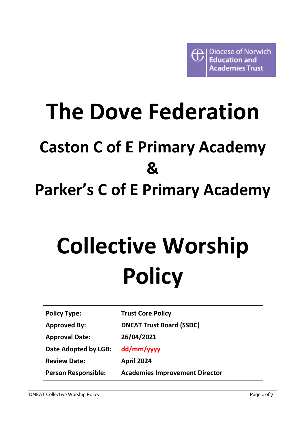# **The Dove Federation Caston C of E Primary Academy & Parker's C of E Primary Academy**

# **Collective Worship Policy**

| <b>Policy Type:</b>   |
|-----------------------|
| <b>Approved By:</b>   |
| <b>Approval Date:</b> |
| Date Adopted by LGB:  |
| <b>Review Date:</b>   |
| Person Responsible:   |

**Trust Core Policy** 

**Academies Improvement Director**

**DNEAT Trust Board (SSDC)**

**26/04/2021**

**dd/mm/yyyy**

**April 2024**

**Person Responsible:**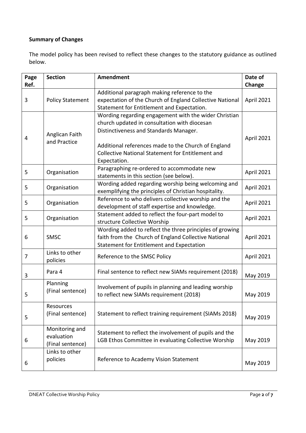# **Summary of Changes**

The model policy has been revised to reflect these changes to the statutory guidance as outlined below.

| Page<br>Ref. | <b>Section</b>                                   | <b>Amendment</b>                                                                                                                                                                                                                                                                   | Date of<br>Change |
|--------------|--------------------------------------------------|------------------------------------------------------------------------------------------------------------------------------------------------------------------------------------------------------------------------------------------------------------------------------------|-------------------|
| 3            | <b>Policy Statement</b>                          | Additional paragraph making reference to the<br>expectation of the Church of England Collective National<br>Statement for Entitlement and Expectation.                                                                                                                             | April 2021        |
| 4            | Anglican Faith<br>and Practice                   | Wording regarding engagement with the wider Christian<br>church updated in consultation with diocesan<br>Distinctiveness and Standards Manager.<br>Additional references made to the Church of England<br><b>Collective National Statement for Entitlement and</b><br>Expectation. | April 2021        |
| 5            | Organisation                                     | Paragraphing re-ordered to accommodate new<br>statements in this section (see below).                                                                                                                                                                                              | April 2021        |
| 5            | Organisation                                     | Wording added regarding worship being welcoming and<br>exemplifying the principles of Christian hospitality.                                                                                                                                                                       | April 2021        |
| 5            | Organisation                                     | Reference to who delivers collective worship and the<br>development of staff expertise and knowledge.                                                                                                                                                                              | April 2021        |
| 5            | Organisation                                     | Statement added to reflect the four-part model to<br>structure Collective Worship                                                                                                                                                                                                  | April 2021        |
| 6            | SMSC                                             | Wording added to reflect the three principles of growing<br>faith from the Church of England Collective National<br>Statement for Entitlement and Expectation                                                                                                                      | April 2021        |
| 7            | Links to other<br>policies                       | Reference to the SMSC Policy                                                                                                                                                                                                                                                       | April 2021        |
| 3            | Para 4                                           | Final sentence to reflect new SIAMs requirement (2018)                                                                                                                                                                                                                             | May 2019          |
| 5            | Planning<br>(Final sentence)                     | Involvement of pupils in planning and leading worship<br>to reflect new SIAMs requirement (2018)                                                                                                                                                                                   | May 2019          |
| 5            | Resources<br>(Final sentence)                    | Statement to reflect training requirement (SIAMs 2018)                                                                                                                                                                                                                             | May 2019          |
| 6            | Monitoring and<br>evaluation<br>(Final sentence) | Statement to reflect the involvement of pupils and the<br>LGB Ethos Committee in evaluating Collective Worship                                                                                                                                                                     | May 2019          |
| 6            | Links to other<br>policies                       | Reference to Academy Vision Statement                                                                                                                                                                                                                                              | May 2019          |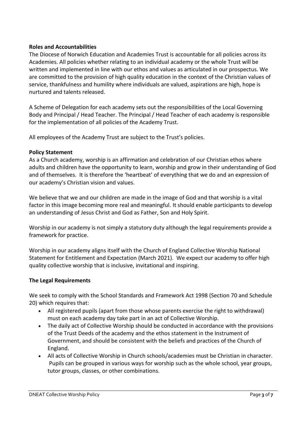# **Roles and Accountabilities**

The Diocese of Norwich Education and Academies Trust is accountable for all policies across its Academies. All policies whether relating to an individual academy or the whole Trust will be written and implemented in line with our ethos and values as articulated in our prospectus. We are committed to the provision of high quality education in the context of the Christian values of service, thankfulness and humility where individuals are valued, aspirations are high, hope is nurtured and talents released.

A Scheme of Delegation for each academy sets out the responsibilities of the Local Governing Body and Principal / Head Teacher. The Principal / Head Teacher of each academy is responsible for the implementation of all policies of the Academy Trust.

All employees of the Academy Trust are subject to the Trust's policies.

#### **Policy Statement**

As a Church academy, worship is an affirmation and celebration of our Christian ethos where adults and children have the opportunity to learn, worship and grow in their understanding of God and of themselves. It is therefore the 'heartbeat' of everything that we do and an expression of our academy's Christian vision and values.

We believe that we and our children are made in the image of God and that worship is a vital factor in this image becoming more real and meaningful. It should enable participants to develop an understanding of Jesus Christ and God as Father, Son and Holy Spirit.

Worship in our academy is not simply a statutory duty although the legal requirements provide a framework for practice.

Worship in our academy aligns itself with the Church of England Collective Worship National Statement for Entitlement and Expectation (March 2021). We expect our academy to offer high quality collective worship that is inclusive, invitational and inspiring.

#### **The Legal Requirements**

We seek to comply with the School Standards and Framework Act 1998 (Section 70 and Schedule 20) which requires that:

- All registered pupils (apart from those whose parents exercise the right to withdrawal) must on each academy day take part in an act of Collective Worship.
- The daily act of Collective Worship should be conducted in accordance with the provisions of the Trust Deeds of the academy and the ethos statement in the Instrument of Government, and should be consistent with the beliefs and practices of the Church of England.
- All acts of Collective Worship in Church schools/academies must be Christian in character. Pupils can be grouped in various ways for worship such as the whole school, year groups, tutor groups, classes, or other combinations.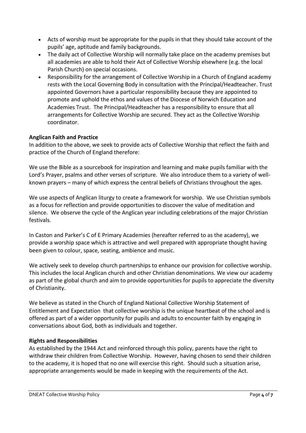- Acts of worship must be appropriate for the pupils in that they should take account of the pupils' age, aptitude and family backgrounds.
- The daily act of Collective Worship will normally take place on the academy premises but all academies are able to hold their Act of Collective Worship elsewhere (e.g. the local Parish Church) on special occasions.
- Responsibility for the arrangement of Collective Worship in a Church of England academy rests with the Local Governing Body in consultation with the Principal/Headteacher. Trust appointed Governors have a particular responsibility because they are appointed to promote and uphold the ethos and values of the Diocese of Norwich Education and Academies Trust. The Principal/Headteacher has a responsibility to ensure that all arrangements for Collective Worship are secured. They act as the Collective Worship coordinator.

# **Anglican Faith and Practice**

In addition to the above, we seek to provide acts of Collective Worship that reflect the faith and practice of the Church of England therefore:

We use the Bible as a sourcebook for inspiration and learning and make pupils familiar with the Lord's Prayer, psalms and other verses of scripture. We also introduce them to a variety of wellknown prayers – many of which express the central beliefs of Christians throughout the ages.

We use aspects of Anglican liturgy to create a framework for worship. We use Christian symbols as a focus for reflection and provide opportunities to discover the value of meditation and silence. We observe the cycle of the Anglican year including celebrations of the major Christian festivals.

In Caston and Parker's C of E Primary Academies (hereafter referred to as the academy), we provide a worship space which is attractive and well prepared with appropriate thought having been given to colour, space, seating, ambience and music.

We actively seek to develop church partnerships to enhance our provision for collective worship. This includes the local Anglican church and other Christian denominations. We view our academy as part of the global church and aim to provide opportunities for pupils to appreciate the diversity of Christianity.

We believe as stated in the Church of England National Collective Worship Statement of Entitlement and Expectation that collective worship is the unique heartbeat of the school and is offered as part of a wider opportunity for pupils and adults to encounter faith by engaging in conversations about God, both as individuals and together.

# **Rights and Responsibilities**

As established by the 1944 Act and reinforced through this policy, parents have the right to withdraw their children from Collective Worship. However, having chosen to send their children to the academy, it is hoped that no one will exercise this right. Should such a situation arise, appropriate arrangements would be made in keeping with the requirements of the Act.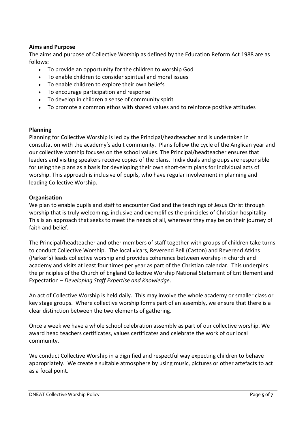# **Aims and Purpose**

The aims and purpose of Collective Worship as defined by the Education Reform Act 1988 are as follows:

- To provide an opportunity for the children to worship God
- To enable children to consider spiritual and moral issues
- To enable children to explore their own beliefs
- To encourage participation and response
- To develop in children a sense of community spirit
- To promote a common ethos with shared values and to reinforce positive attitudes

#### **Planning**

Planning for Collective Worship is led by the Principal/headteacher and is undertaken in consultation with the academy's adult community. Plans follow the cycle of the Anglican year and our collective worship focuses on the school values. The Principal/headteacher ensures that leaders and visiting speakers receive copies of the plans. Individuals and groups are responsible for using the plans as a basis for developing their own short-term plans for individual acts of worship. This approach is inclusive of pupils, who have regular involvement in planning and leading Collective Worship.

#### **Organisation**

We plan to enable pupils and staff to encounter God and the teachings of Jesus Christ through worship that is truly welcoming, inclusive and exemplifies the principles of Christian hospitality. This is an approach that seeks to meet the needs of all, wherever they may be on their journey of faith and belief.

The Principal/headteacher and other members of staff together with groups of children take turns to conduct Collective Worship. The local vicars, Reverend Bell (Caston) and Reverend Atkins (Parker's) leads collective worship and provides coherence between worship in church and academy and visits at least four times per year as part of the Christian calendar. This underpins the principles of the Church of England Collective Worship National Statement of Entitlement and Expectation – *Developing Staff Expertise and Knowledge*.

An act of Collective Worship is held daily. This may involve the whole academy or smaller class or key stage groups. Where collective worship forms part of an assembly, we ensure that there is a clear distinction between the two elements of gathering.

Once a week we have a whole school celebration assembly as part of our collective worship. We award head teachers certificates, values certificates and celebrate the work of our local community.

We conduct Collective Worship in a dignified and respectful way expecting children to behave appropriately. We create a suitable atmosphere by using music, pictures or other artefacts to act as a focal point.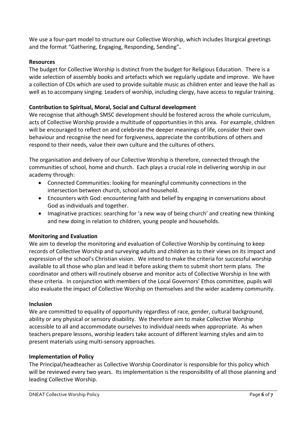We use a four-part model to structure our Collective Worship, which includes liturgical greetings and the format "Gathering, Engaging, Responding, Sending"**.**

# **Resources**

The budget for Collective Worship is distinct from the budget for Religious Education. There is a wide selection of assembly books and artefacts which we regularly update and improve. We have a collection of CDs which are used to provide suitable music as children enter and leave the hall as well as to accompany singing. Leaders of worship, including clergy, have access to regular training.

# **Contribution to Spiritual, Moral, Social and Cultural development**

We recognise that although SMSC development should be fostered across the whole curriculum, acts of Collective Worship provide a multitude of opportunities in this area. For example, children will be encouraged to reflect on and celebrate the deeper meanings of life, consider their own behaviour and recognise the need for forgiveness, appreciate the contributions of others and respond to their needs, value their own culture and the cultures of others.

The organisation and delivery of our Collective Worship is therefore, connected through the communities of school, home and church. Each plays a crucial role in delivering worship in our academy through:

- Connected Communities: looking for meaningful community connections in the intersection between church, school and household.
- Encounters with God: encountering faith and belief by engaging in conversations about God as individuals and together.
- Imaginative practices: searching for 'a new way of being church' and creating new thinking and new doing in relation to children, young people and households.

# **Monitoring and Evaluation**

We aim to develop the monitoring and evaluation of Collective Worship by continuing to keep records of Collective Worship and surveying adults and children as to their views on its impact and expression of the school's Christian vision. We intend to make the criteria for successful worship available to all those who plan and lead it before asking them to submit short term plans. The coordinator and others will routinely observe and monitor acts of Collective Worship in line with these criteria. In conjunction with members of the Local Governors' Ethos committee, pupils will also evaluate the impact of Collective Worship on themselves and the wider academy community.

# **Inclusion**

We are committed to equality of opportunity regardless of race, gender, cultural background, ability or any physical or sensory disability. We therefore aim to make Collective Worship accessible to all and accommodate ourselves to individual needs when appropriate. As when teachers prepare lessons, worship leaders take account of different learning styles and aim to present materials using multi-sensory approaches.

# **Implementation of Policy**

The Principal/headteacher as Collective Worship Coordinator is responsible for this policy which will be reviewed every two years. Its implementation is the responsibility of all those planning and leading Collective Worship.